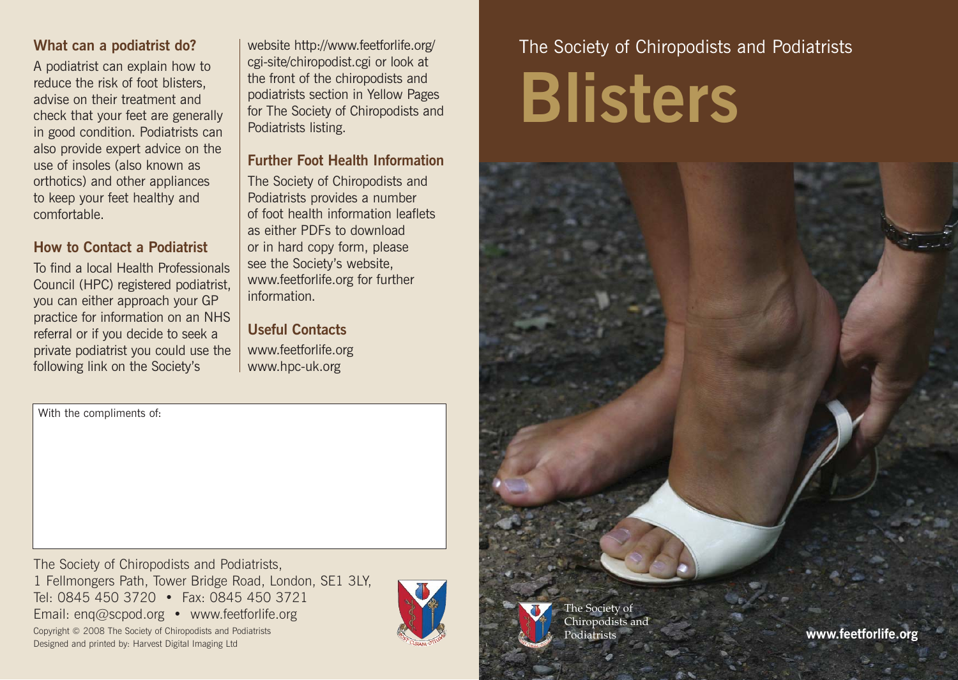## **What can a podiatrist do?**

A podiatrist can explain how to reduce the risk of foot blisters, advise on their treatment and check that your feet are generally in good condition. Podiatrists can also provide expert advice on the use of insoles (also known as orthotics) and other appliances to keep your feet healthy and comfortable.

### **How to Contact a Podiatrist**

To find a local Health Professionals Council (HPC) registered podiatrist, you can either approach your GP practice for information on an NHS referral or if you decide to seek a private podiatrist you could use the following link on the Society's

website http://www.feetforlife.org/ cgi-site/chiropodist.cgi or look at the front of the chiropodists and podiatrists section in Yellow Pages for The Society of Chiropodists and Podiatrists listing.

### **Further Foot Health Information**

The Society of Chiropodists and Podiatrists provides a number of foot health information leaflets as either PDFs to download or in hard copy form, please see the Society's website, www.feetforlife.org for further information.

# **Useful Contacts** www.feetforlife.org www.hpc-uk.org

With the compliments of:

The Society of Chiropodists and Podiatrists, 1 Fellmongers Path, Tower Bridge Road, London, SE1 3LY, Tel: 0845 450 3720 • Fax: 0845 450 3721 Email: enq@scpod.org • www.feetforlife.org Copyright © 2008 The Society of Chiropodists and Podiatrists



# The Society of Chiropodists and Podiatrists **Blisters**